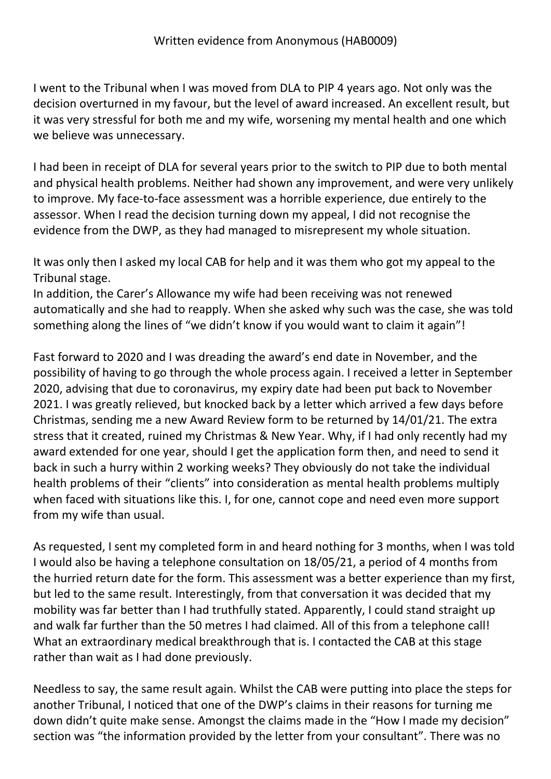I went to the Tribunal when I was moved from DLA to PIP 4 years ago. Not only was the decision overturned in my favour, but the level of award increased. An excellent result, but it was very stressful for both me and my wife, worsening my mental health and one which we believe was unnecessary.

I had been in receipt of DLA for several years prior to the switch to PIP due to both mental and physical health problems. Neither had shown any improvement, and were very unlikely to improve. My face-to-face assessment was a horrible experience, due entirely to the assessor. When I read the decision turning down my appeal, I did not recognise the evidence from the DWP, as they had managed to misrepresent my whole situation.

It was only then I asked my local CAB for help and it was them who got my appeal to the Tribunal stage.

In addition, the Carer's Allowance my wife had been receiving was not renewed automatically and she had to reapply. When she asked why such was the case, she was told something along the lines of "we didn't know if you would want to claim it again"!

Fast forward to 2020 and I was dreading the award's end date in November, and the possibility of having to go through the whole process again. I received a letter in September 2020, advising that due to coronavirus, my expiry date had been put back to November 2021. I was greatly relieved, but knocked back by a letter which arrived a few days before Christmas, sending me a new Award Review form to be returned by 14/01/21. The extra stress that it created, ruined my Christmas & New Year. Why, if I had only recently had my award extended for one year, should I get the application form then, and need to send it back in such a hurry within 2 working weeks? They obviously do not take the individual health problems of their "clients" into consideration as mental health problems multiply when faced with situations like this. I, for one, cannot cope and need even more support from my wife than usual.

As requested, I sent my completed form in and heard nothing for 3 months, when I was told I would also be having a telephone consultation on 18/05/21, a period of 4 months from the hurried return date for the form. This assessment was a better experience than my first, but led to the same result. Interestingly, from that conversation it was decided that my mobility was far better than I had truthfully stated. Apparently, I could stand straight up and walk far further than the 50 metres I had claimed. All of this from a telephone call! What an extraordinary medical breakthrough that is. I contacted the CAB at this stage rather than wait as I had done previously.

Needless to say, the same result again. Whilst the CAB were putting into place the steps for another Tribunal, I noticed that one of the DWP's claims in their reasons for turning me down didn't quite make sense. Amongst the claims made in the "How I made my decision" section was "the information provided by the letter from your consultant". There was no